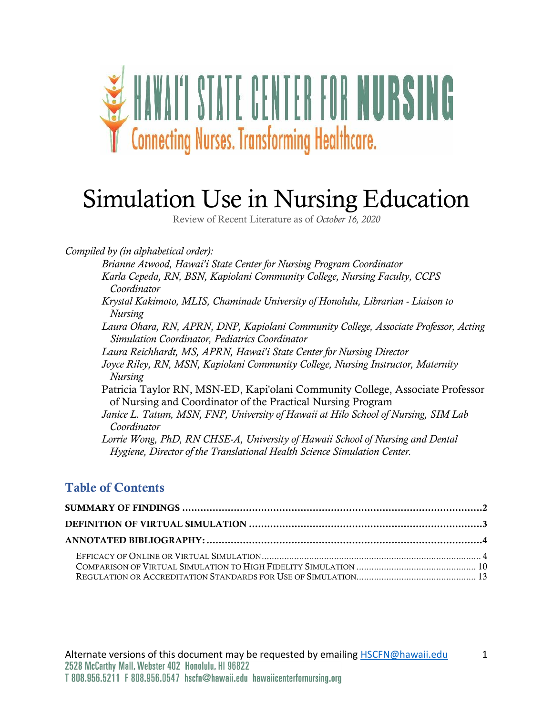

# Simulation Use in Nursing Education

Review of Recent Literature as of *October 16, 2020*

*Compiled by (in alphabetical order):*

*Brianne Atwood, Hawai′i State Center for Nursing Program Coordinator Karla Cepeda, RN, BSN, Kapiolani Community College, Nursing Faculty, CCPS Coordinator Krystal Kakimoto, MLIS, Chaminade University of Honolulu, Librarian - Liaison to Nursing Laura Ohara, RN, APRN, DNP, Kapiolani Community College, Associate Professor, Acting Simulation Coordinator, Pediatrics Coordinator Laura Reichhardt, MS, APRN, Hawai′i State Center for Nursing Director Joyce Riley, RN, MSN, Kapiolani Community College, Nursing Instructor, Maternity Nursing* Patricia Taylor RN, MSN-ED, Kapi'olani Community College, Associate Professor of Nursing and Coordinator of the Practical Nursing Program *Janice L. Tatum, MSN, FNP, University of Hawaii at Hilo School of Nursing, SIM Lab Coordinator Lorrie Wong, PhD, RN CHSE-A, University of Hawaii School of Nursing and Dental Hygiene, Director of the Translational Health Science Simulation Center.*

#### Table of Contents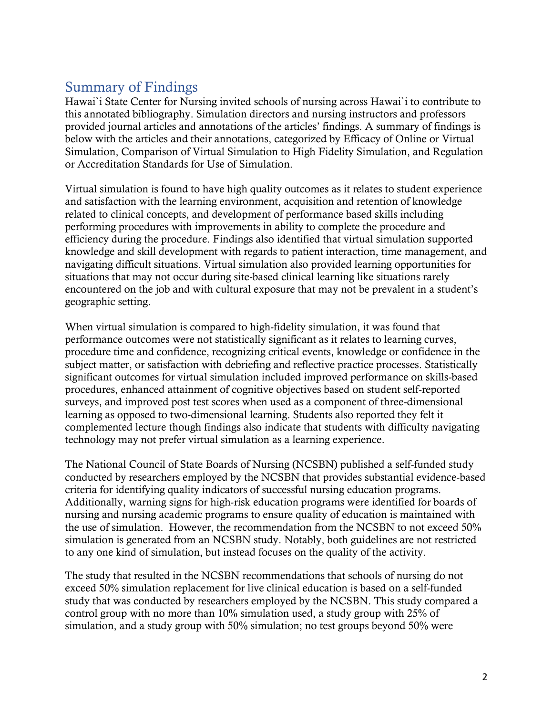# <span id="page-1-0"></span>Summary of Findings

Hawai`i State Center for Nursing invited schools of nursing across Hawai`i to contribute to this annotated bibliography. Simulation directors and nursing instructors and professors provided journal articles and annotations of the articles' findings. A summary of findings is below with the articles and their annotations, categorized by Efficacy of Online or Virtual Simulation, Comparison of Virtual Simulation to High Fidelity Simulation, and Regulation or Accreditation Standards for Use of Simulation.

Virtual simulation is found to have high quality outcomes as it relates to student experience and satisfaction with the learning environment, acquisition and retention of knowledge related to clinical concepts, and development of performance based skills including performing procedures with improvements in ability to complete the procedure and efficiency during the procedure. Findings also identified that virtual simulation supported knowledge and skill development with regards to patient interaction, time management, and navigating difficult situations. Virtual simulation also provided learning opportunities for situations that may not occur during site-based clinical learning like situations rarely encountered on the job and with cultural exposure that may not be prevalent in a student's geographic setting.

When virtual simulation is compared to high-fidelity simulation, it was found that performance outcomes were not statistically significant as it relates to learning curves, procedure time and confidence, recognizing critical events, knowledge or confidence in the subject matter, or satisfaction with debriefing and reflective practice processes. Statistically significant outcomes for virtual simulation included improved performance on skills-based procedures, enhanced attainment of cognitive objectives based on student self-reported surveys, and improved post test scores when used as a component of three-dimensional learning as opposed to two-dimensional learning. Students also reported they felt it complemented lecture though findings also indicate that students with difficulty navigating technology may not prefer virtual simulation as a learning experience.

The National Council of State Boards of Nursing (NCSBN) published a self-funded study conducted by researchers employed by the NCSBN that provides substantial evidence-based criteria for identifying quality indicators of successful nursing education programs. Additionally, warning signs for high-risk education programs were identified for boards of nursing and nursing academic programs to ensure quality of education is maintained with the use of simulation. However, the recommendation from the NCSBN to not exceed 50% simulation is generated from an NCSBN study. Notably, both guidelines are not restricted to any one kind of simulation, but instead focuses on the quality of the activity.

The study that resulted in the NCSBN recommendations that schools of nursing do not exceed 50% simulation replacement for live clinical education is based on a self-funded study that was conducted by researchers employed by the NCSBN. This study compared a control group with no more than 10% simulation used, a study group with 25% of simulation, and a study group with 50% simulation; no test groups beyond 50% were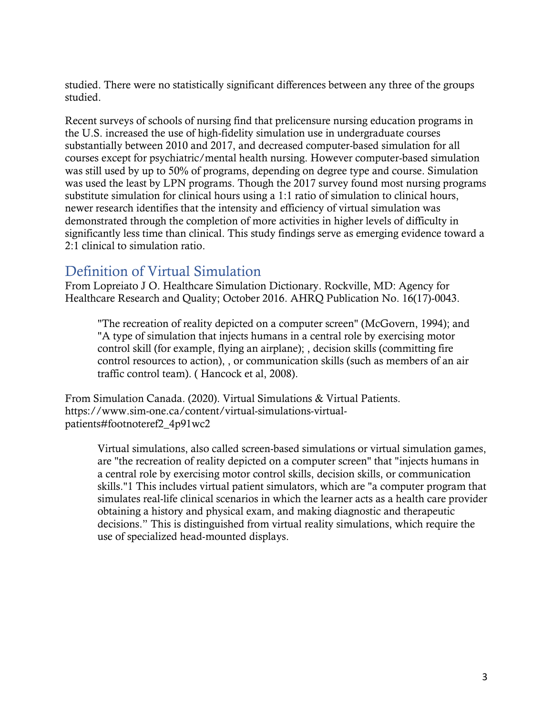studied. There were no statistically significant differences between any three of the groups studied.

Recent surveys of schools of nursing find that prelicensure nursing education programs in the U.S. increased the use of high-fidelity simulation use in undergraduate courses substantially between 2010 and 2017, and decreased computer-based simulation for all courses except for psychiatric/mental health nursing. However computer-based simulation was still used by up to 50% of programs, depending on degree type and course. Simulation was used the least by LPN programs. Though the 2017 survey found most nursing programs substitute simulation for clinical hours using a 1:1 ratio of simulation to clinical hours, newer research identifies that the intensity and efficiency of virtual simulation was demonstrated through the completion of more activities in higher levels of difficulty in significantly less time than clinical. This study findings serve as emerging evidence toward a 2:1 clinical to simulation ratio.

# <span id="page-2-0"></span>Definition of Virtual Simulation

From Lopreiato J O. Healthcare Simulation Dictionary. Rockville, MD: Agency for Healthcare Research and Quality; October 2016. AHRQ Publication No. 16(17)-0043.

"The recreation of reality depicted on a computer screen" (McGovern, 1994); and "A type of simulation that injects humans in a central role by exercising motor control skill (for example, flying an airplane); , decision skills (committing fire control resources to action), , or communication skills (such as members of an air traffic control team). ( Hancock et al, 2008).

From Simulation Canada. (2020). Virtual Simulations & Virtual Patients. https://www.sim-one.ca/content/virtual-simulations-virtualpatients#footnoteref2\_4p91wc2

Virtual simulations, also called screen-based simulations or virtual simulation games, are "the recreation of reality depicted on a computer screen" that "injects humans in a central role by exercising motor control skills, decision skills, or communication skills."1 This includes virtual patient simulators, which are "a computer program that simulates real-life clinical scenarios in which the learner acts as a health care provider obtaining a history and physical exam, and making diagnostic and therapeutic decisions." This is distinguished from virtual reality simulations, which require the use of specialized head-mounted displays.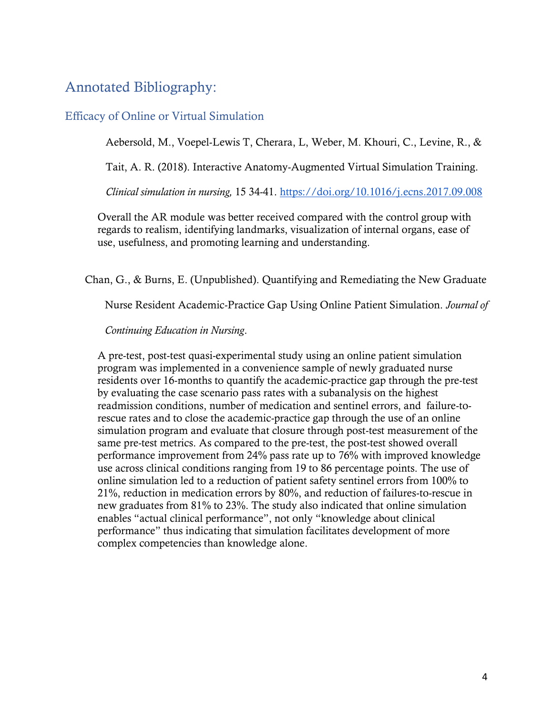# <span id="page-3-0"></span>Annotated Bibliography:

#### <span id="page-3-1"></span>Efficacy of Online or Virtual Simulation

Aebersold, M., Voepel-Lewis T, Cherara, L, Weber, M. Khouri, C., Levine, R., &

Tait, A. R. (2018). Interactive Anatomy-Augmented Virtual Simulation Training.

*Clinical simulation in nursing,* 15 34-41.<https://doi.org/10.1016/j.ecns.2017.09.008>

Overall the AR module was better received compared with the control group with regards to realism, identifying landmarks, visualization of internal organs, ease of use, usefulness, and promoting learning and understanding.

Chan, G., & Burns, E. (Unpublished). Quantifying and Remediating the New Graduate

Nurse Resident Academic-Practice Gap Using Online Patient Simulation. *Journal of* 

*Continuing Education in Nursing*.

A pre-test, post-test quasi-experimental study using an online patient simulation program was implemented in a convenience sample of newly graduated nurse residents over 16-months to quantify the academic-practice gap through the pre-test by evaluating the case scenario pass rates with a subanalysis on the highest readmission conditions, number of medication and sentinel errors, and failure-torescue rates and to close the academic-practice gap through the use of an online simulation program and evaluate that closure through post-test measurement of the same pre-test metrics. As compared to the pre-test, the post-test showed overall performance improvement from 24% pass rate up to 76% with improved knowledge use across clinical conditions ranging from 19 to 86 percentage points. The use of online simulation led to a reduction of patient safety sentinel errors from 100% to 21%, reduction in medication errors by 80%, and reduction of failures-to-rescue in new graduates from 81% to 23%. The study also indicated that online simulation enables "actual clinical performance", not only "knowledge about clinical performance" thus indicating that simulation facilitates development of more complex competencies than knowledge alone.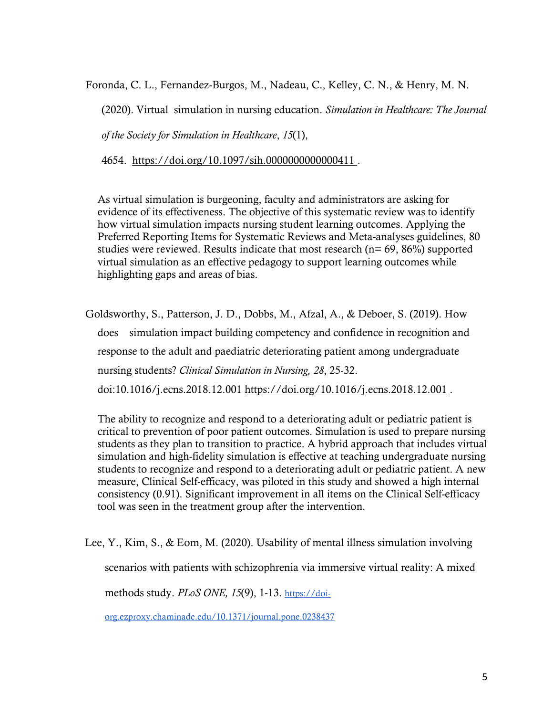Foronda, C. L., Fernandez-Burgos, M., Nadeau, C., Kelley, C. N., & Henry, M. N.

(2020). Virtual simulation in nursing education. *Simulation in Healthcare: The Journal* 

*of the Society for Simulation in Healthcare*, *15*(1),

4654. <https://doi.org/10.1097/sih.0000000000000411> .

As virtual simulation is burgeoning, faculty and administrators are asking for evidence of its effectiveness. The objective of this systematic review was to identify how virtual simulation impacts nursing student learning outcomes. Applying the Preferred Reporting Items for Systematic Reviews and Meta-analyses guidelines, 80 studies were reviewed. Results indicate that most research ( $n= 69, 86\%$ ) supported virtual simulation as an effective pedagogy to support learning outcomes while highlighting gaps and areas of bias.

Goldsworthy, S., Patterson, J. D., Dobbs, M., Afzal, A., & Deboer, S. (2019). How does simulation impact building competency and confidence in recognition and response to the adult and paediatric deteriorating patient among undergraduate nursing students? *Clinical Simulation in Nursing, 28*, 25-32. doi:10.1016/j.ecns.2018.12.001 <https://doi.org/10.1016/j.ecns.2018.12.001> .

The ability to recognize and respond to a deteriorating adult or pediatric patient is critical to prevention of poor patient outcomes. Simulation is used to prepare nursing students as they plan to transition to practice. A hybrid approach that includes virtual simulation and high-fidelity simulation is effective at teaching undergraduate nursing students to recognize and respond to a deteriorating adult or pediatric patient. A new measure, Clinical Self-efficacy, was piloted in this study and showed a high internal consistency (0.91). Significant improvement in all items on the Clinical Self-efficacy tool was seen in the treatment group after the intervention.

Lee, Y., Kim, S., & Eom, M. (2020). Usability of mental illness simulation involving scenarios with patients with schizophrenia via immersive virtual reality: A mixed

methods study. *PLoS ONE, 15*(9), 1-13. [https://doi-](https://doi-org.ezproxy.chaminade.edu/10.1371/journal.pone.0238437)

[org.ezproxy.chaminade.edu/10.1371/journal.pone.0238437](https://doi-org.ezproxy.chaminade.edu/10.1371/journal.pone.0238437)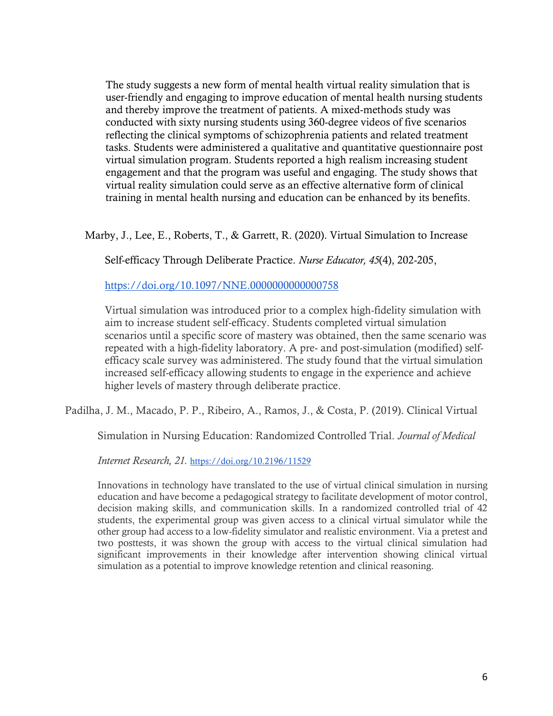The study suggests a new form of mental health virtual reality simulation that is user-friendly and engaging to improve education of mental health nursing students and thereby improve the treatment of patients. A mixed-methods study was conducted with sixty nursing students using 360-degree videos of five scenarios reflecting the clinical symptoms of schizophrenia patients and related treatment tasks. Students were administered a qualitative and quantitative questionnaire post virtual simulation program. Students reported a high realism increasing student engagement and that the program was useful and engaging. The study shows that virtual reality simulation could serve as an effective alternative form of clinical training in mental health nursing and education can be enhanced by its benefits.

Marby, J., Lee, E., Roberts, T., & Garrett, R. (2020). Virtual Simulation to Increase

Self-efficacy Through Deliberate Practice. *Nurse Educator, 45*(4), 202-205,

<https://doi.org/10.1097/NNE.0000000000000758>

Virtual simulation was introduced prior to a complex high-fidelity simulation with aim to increase student self-efficacy. Students completed virtual simulation scenarios until a specific score of mastery was obtained, then the same scenario was repeated with a high-fidelity laboratory. A pre- and post-simulation (modified) selfefficacy scale survey was administered. The study found that the virtual simulation increased self-efficacy allowing students to engage in the experience and achieve higher levels of mastery through deliberate practice.

Padilha, J. M., Macado, P. P., Ribeiro, A., Ramos, J., & Costa, P. (2019). Clinical Virtual

Simulation in Nursing Education: Randomized Controlled Trial. *Journal of Medical* 

*Internet Research, 21.* <https://doi.org/10.2196/11529>

Innovations in technology have translated to the use of virtual clinical simulation in nursing education and have become a pedagogical strategy to facilitate development of motor control, decision making skills, and communication skills. In a randomized controlled trial of 42 students, the experimental group was given access to a clinical virtual simulator while the other group had access to a low-fidelity simulator and realistic environment. Via a pretest and two posttests, it was shown the group with access to the virtual clinical simulation had significant improvements in their knowledge after intervention showing clinical virtual simulation as a potential to improve knowledge retention and clinical reasoning.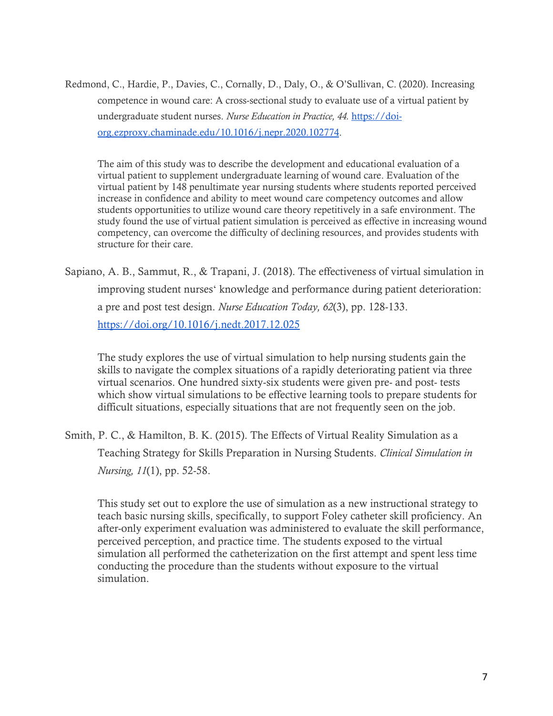Redmond, C., Hardie, P., Davies, C., Cornally, D., Daly, O., & O'Sullivan, C. (2020). Increasing competence in wound care: A cross-sectional study to evaluate use of a virtual patient by undergraduate student nurses. *Nurse Education in Practice, 44.* [https://doi](https://doi-org.ezproxy.chaminade.edu/10.1016/j.nepr.2020.102774)[org.ezproxy.chaminade.edu/10.1016/j.nepr.2020.102774.](https://doi-org.ezproxy.chaminade.edu/10.1016/j.nepr.2020.102774)

The aim of this study was to describe the development and educational evaluation of a virtual patient to supplement undergraduate learning of wound care. Evaluation of the virtual patient by 148 penultimate year nursing students where students reported perceived increase in confidence and ability to meet wound care competency outcomes and allow students opportunities to utilize wound care theory repetitively in a safe environment. The study found the use of virtual patient simulation is perceived as effective in increasing wound competency, can overcome the difficulty of declining resources, and provides students with structure for their care.

Sapiano, A. B., Sammut, R., & Trapani, J. (2018). The effectiveness of virtual simulation in improving student nursesʻ knowledge and performance during patient deterioration: a pre and post test design. *Nurse Education Today, 62*(3), pp. 128-133. <https://doi.org/10.1016/j.nedt.2017.12.025>

The study explores the use of virtual simulation to help nursing students gain the skills to navigate the complex situations of a rapidly deteriorating patient via three virtual scenarios. One hundred sixty-six students were given pre- and post- tests which show virtual simulations to be effective learning tools to prepare students for difficult situations, especially situations that are not frequently seen on the job.

Smith, P. C., & Hamilton, B. K. (2015). The Effects of Virtual Reality Simulation as a Teaching Strategy for Skills Preparation in Nursing Students. *Clinical Simulation in Nursing, 11*(1), pp. 52-58.

This study set out to explore the use of simulation as a new instructional strategy to teach basic nursing skills, specifically, to support Foley catheter skill proficiency. An after-only experiment evaluation was administered to evaluate the skill performance, perceived perception, and practice time. The students exposed to the virtual simulation all performed the catheterization on the first attempt and spent less time conducting the procedure than the students without exposure to the virtual simulation.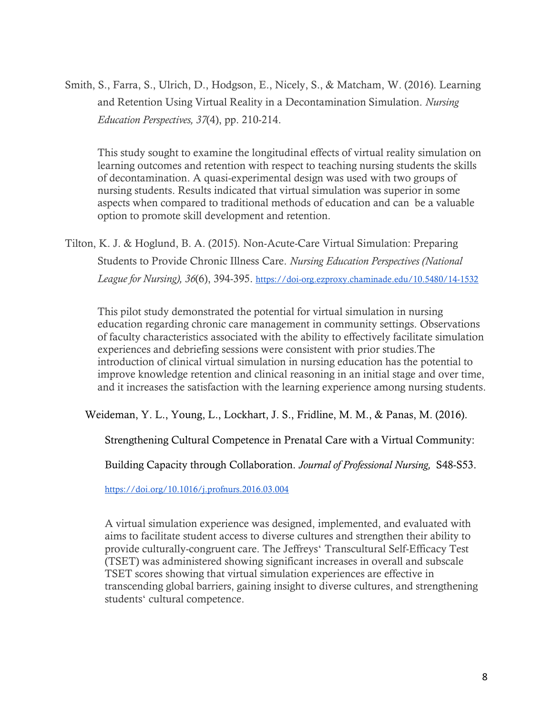Smith, S., Farra, S., Ulrich, D., Hodgson, E., Nicely, S., & Matcham, W. (2016). Learning and Retention Using Virtual Reality in a Decontamination Simulation. *Nursing Education Perspectives, 37*(4), pp. 210-214.

This study sought to examine the longitudinal effects of virtual reality simulation on learning outcomes and retention with respect to teaching nursing students the skills of decontamination. A quasi-experimental design was used with two groups of nursing students. Results indicated that virtual simulation was superior in some aspects when compared to traditional methods of education and can be a valuable option to promote skill development and retention.

Tilton, K. J. & Hoglund, B. A. (2015). Non-Acute-Care Virtual Simulation: Preparing Students to Provide Chronic Illness Care. *Nursing Education Perspectives (National League for Nursing), 36*(6), 394-395. <https://doi-org.ezproxy.chaminade.edu/10.5480/14-1532>

This pilot study demonstrated the potential for virtual simulation in nursing education regarding chronic care management in community settings. Observations of faculty characteristics associated with the ability to effectively facilitate simulation experiences and debriefing sessions were consistent with prior studies.The introduction of clinical virtual simulation in nursing education has the potential to improve knowledge retention and clinical reasoning in an initial stage and over time, and it increases the satisfaction with the learning experience among nursing students.

Weideman, Y. L., Young, L., Lockhart, J. S., Fridline, M. M., & Panas, M. (2016).

Strengthening Cultural Competence in Prenatal Care with a Virtual Community:

Building Capacity through Collaboration. *Journal of Professional Nursing,* S48-S53.

<https://doi.org/10.1016/j.profnurs.2016.03.004>

A virtual simulation experience was designed, implemented, and evaluated with aims to facilitate student access to diverse cultures and strengthen their ability to provide culturally-congruent care. The Jeffreysʻ Transcultural Self-Efficacy Test (TSET) was administered showing significant increases in overall and subscale TSET scores showing that virtual simulation experiences are effective in transcending global barriers, gaining insight to diverse cultures, and strengthening studentsʻ cultural competence.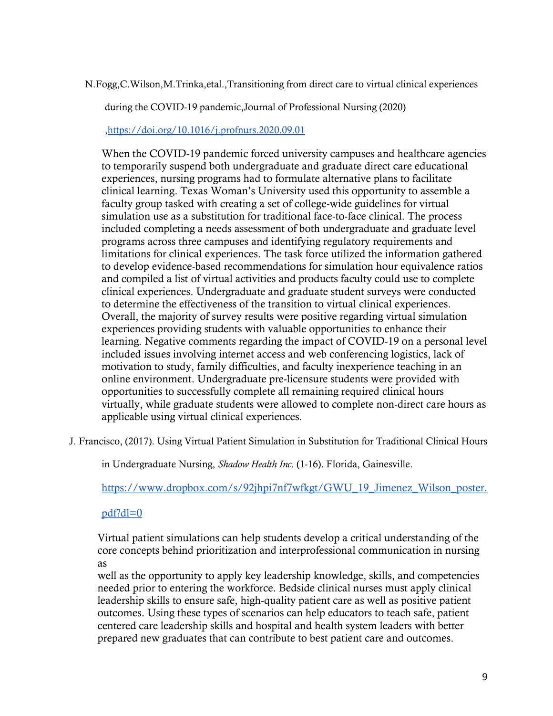N.Fogg,C.Wilson,M.Trinka,etal.,Transitioning from direct care to virtual clinical experiences

during the COVID-19 pandemic,Journal of Professional Nursing (2020)

[,https://doi.org/10.1016/j.profnurs.2020.09.01](https://doi.org/10.1016/j.profnurs.2020.09.01) 

When the COVID-19 pandemic forced university campuses and healthcare agencies to temporarily suspend both undergraduate and graduate direct care educational experiences, nursing programs had to formulate alternative plans to facilitate clinical learning. Texas Woman's University used this opportunity to assemble a faculty group tasked with creating a set of college-wide guidelines for virtual simulation use as a substitution for traditional face-to-face clinical. The process included completing a needs assessment of both undergraduate and graduate level programs across three campuses and identifying regulatory requirements and limitations for clinical experiences. The task force utilized the information gathered to develop evidence-based recommendations for simulation hour equivalence ratios and compiled a list of virtual activities and products faculty could use to complete clinical experiences. Undergraduate and graduate student surveys were conducted to determine the effectiveness of the transition to virtual clinical experiences. Overall, the majority of survey results were positive regarding virtual simulation experiences providing students with valuable opportunities to enhance their learning. Negative comments regarding the impact of COVID-19 on a personal level included issues involving internet access and web conferencing logistics, lack of motivation to study, family difficulties, and faculty inexperience teaching in an online environment. Undergraduate pre-licensure students were provided with opportunities to successfully complete all remaining required clinical hours virtually, while graduate students were allowed to complete non-direct care hours as applicable using virtual clinical experiences.

J. Francisco, (2017). Using Virtual Patient Simulation in Substitution for Traditional Clinical Hours

in Undergraduate Nursing, *Shadow Health Inc*. (1-16). Florida, Gainesville.

[https://www.dropbox.com/s/92jhpi7nf7wfkgt/GWU\\_19\\_Jimenez\\_Wilson\\_poster.](https://www.dropbox.com/s/92jhpi7nf7wfkgt/GWU_19_Jimenez_Wilson_poster.pdf?dl=0)

[pdf?dl=0](https://www.dropbox.com/s/92jhpi7nf7wfkgt/GWU_19_Jimenez_Wilson_poster.pdf?dl=0)

Virtual patient simulations can help students develop a critical understanding of the core concepts behind prioritization and interprofessional communication in nursing as

well as the opportunity to apply key leadership knowledge, skills, and competencies needed prior to entering the workforce. Bedside clinical nurses must apply clinical leadership skills to ensure safe, high-quality patient care as well as positive patient outcomes. Using these types of scenarios can help educators to teach safe, patient centered care leadership skills and hospital and health system leaders with better prepared new graduates that can contribute to best patient care and outcomes.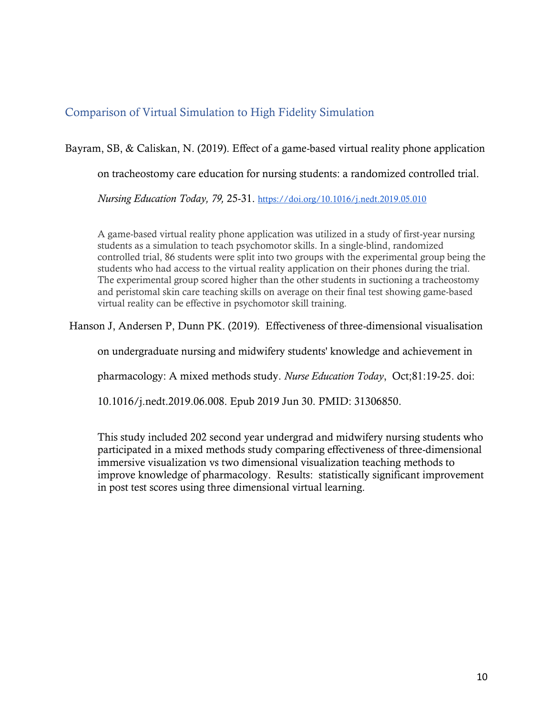### <span id="page-9-0"></span>Comparison of Virtual Simulation to High Fidelity Simulation

Bayram, SB, & Caliskan, N. (2019). Effect of a game-based virtual reality phone application

on tracheostomy care education for nursing students: a randomized controlled trial.

*Nursing Education Today, 79,* 25-31. <https://doi.org/10.1016/j.nedt.2019.05.010>

A game-based virtual reality phone application was utilized in a study of first-year nursing students as a simulation to teach psychomotor skills. In a single-blind, randomized controlled trial, 86 students were split into two groups with the experimental group being the students who had access to the virtual reality application on their phones during the trial. The experimental group scored higher than the other students in suctioning a tracheostomy and peristomal skin care teaching skills on average on their final test showing game-based virtual reality can be effective in psychomotor skill training.

Hanson J, Andersen P, Dunn PK. (2019). Effectiveness of three-dimensional visualisation

on undergraduate nursing and midwifery students' knowledge and achievement in

pharmacology: A mixed methods study. *Nurse Education Today*, Oct;81:19-25. doi:

10.1016/j.nedt.2019.06.008. Epub 2019 Jun 30. PMID: 31306850.

This study included 202 second year undergrad and midwifery nursing students who participated in a mixed methods study comparing effectiveness of three-dimensional immersive visualization vs two dimensional visualization teaching methods to improve knowledge of pharmacology. Results: statistically significant improvement in post test scores using three dimensional virtual learning.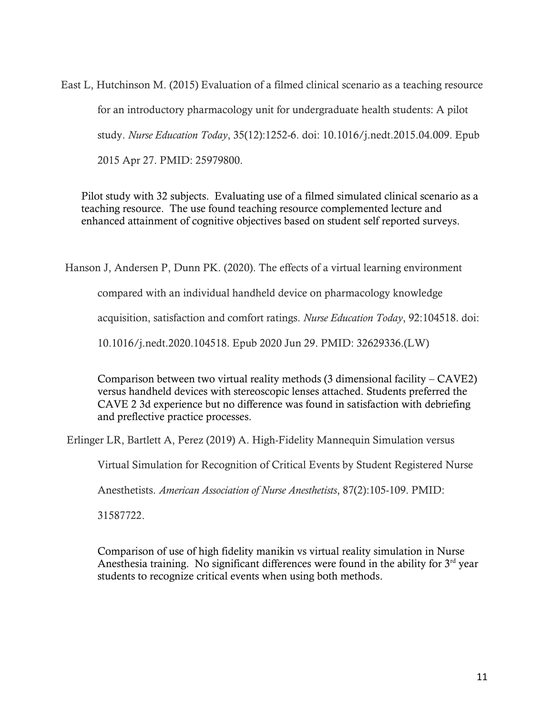East L, Hutchinson M. (2015) Evaluation of a filmed clinical scenario as a teaching resource for an introductory pharmacology unit for undergraduate health students: A pilot study. *Nurse Education Today*, 35(12):1252-6. doi: 10.1016/j.nedt.2015.04.009. Epub 2015 Apr 27. PMID: 25979800.

Pilot study with 32 subjects. Evaluating use of a filmed simulated clinical scenario as a teaching resource. The use found teaching resource complemented lecture and enhanced attainment of cognitive objectives based on student self reported surveys.

Hanson J, Andersen P, Dunn PK. (2020). The effects of a virtual learning environment

compared with an individual handheld device on pharmacology knowledge

acquisition, satisfaction and comfort ratings. *Nurse Education Today*, 92:104518. doi:

10.1016/j.nedt.2020.104518. Epub 2020 Jun 29. PMID: 32629336.(LW)

Comparison between two virtual reality methods (3 dimensional facility – CAVE2) versus handheld devices with stereoscopic lenses attached. Students preferred the CAVE 2 3d experience but no difference was found in satisfaction with debriefing and preflective practice processes.

Erlinger LR, Bartlett A, Perez (2019) A. High-Fidelity Mannequin Simulation versus

Virtual Simulation for Recognition of Critical Events by Student Registered Nurse

Anesthetists. *American Association of Nurse Anesthetists*, 87(2):105-109. PMID:

31587722.

Comparison of use of high fidelity manikin vs virtual reality simulation in Nurse Anesthesia training. No significant differences were found in the ability for  $3<sup>rd</sup>$  year students to recognize critical events when using both methods.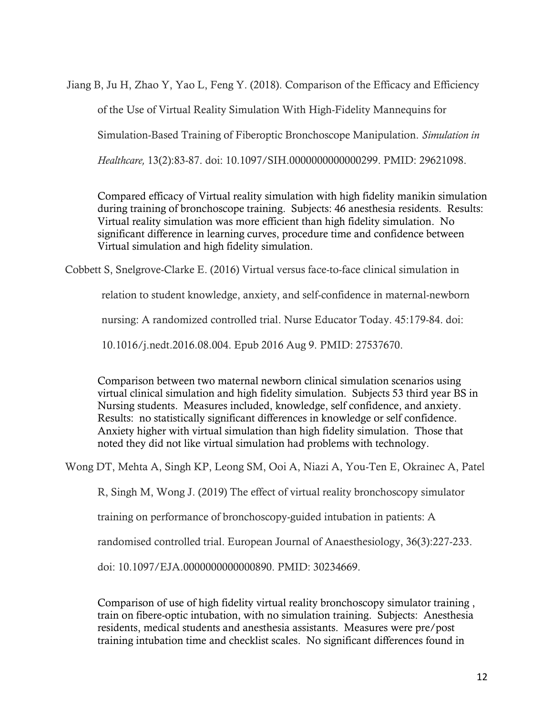Jiang B, Ju H, Zhao Y, Yao L, Feng Y. (2018). Comparison of the Efficacy and Efficiency of the Use of Virtual Reality Simulation With High-Fidelity Mannequins for Simulation-Based Training of Fiberoptic Bronchoscope Manipulation. *Simulation in Healthcare,* 13(2):83-87. doi: 10.1097/SIH.0000000000000299. PMID: 29621098.

Compared efficacy of Virtual reality simulation with high fidelity manikin simulation during training of bronchoscope training. Subjects: 46 anesthesia residents. Results: Virtual reality simulation was more efficient than high fidelity simulation. No significant difference in learning curves, procedure time and confidence between Virtual simulation and high fidelity simulation.

Cobbett S, Snelgrove-Clarke E. (2016) Virtual versus face-to-face clinical simulation in

relation to student knowledge, anxiety, and self-confidence in maternal-newborn

nursing: A randomized controlled trial. Nurse Educator Today. 45:179-84. doi:

10.1016/j.nedt.2016.08.004. Epub 2016 Aug 9. PMID: 27537670.

Comparison between two maternal newborn clinical simulation scenarios using virtual clinical simulation and high fidelity simulation. Subjects 53 third year BS in Nursing students. Measures included, knowledge, self confidence, and anxiety. Results: no statistically significant differences in knowledge or self confidence. Anxiety higher with virtual simulation than high fidelity simulation. Those that noted they did not like virtual simulation had problems with technology.

Wong DT, Mehta A, Singh KP, Leong SM, Ooi A, Niazi A, You-Ten E, Okrainec A, Patel

R, Singh M, Wong J. (2019) The effect of virtual reality bronchoscopy simulator

training on performance of bronchoscopy-guided intubation in patients: A

randomised controlled trial. European Journal of Anaesthesiology, 36(3):227-233.

doi: 10.1097/EJA.0000000000000890. PMID: 30234669.

Comparison of use of high fidelity virtual reality bronchoscopy simulator training , train on fibere-optic intubation, with no simulation training. Subjects: Anesthesia residents, medical students and anesthesia assistants. Measures were pre/post training intubation time and checklist scales. No significant differences found in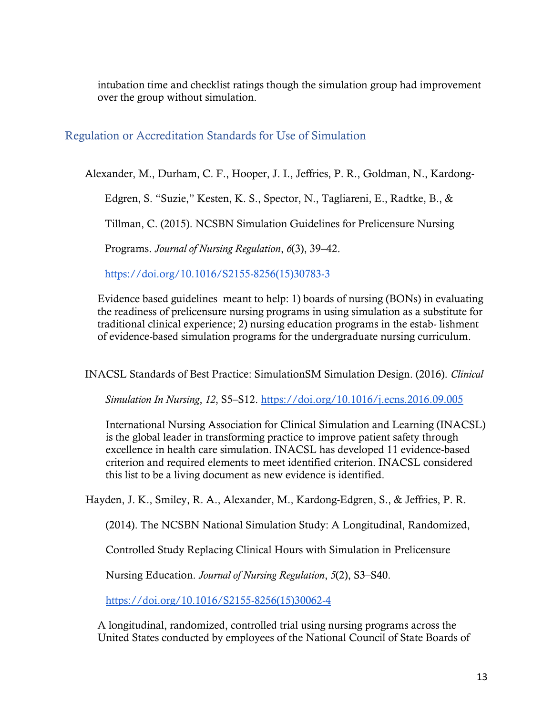intubation time and checklist ratings though the simulation group had improvement over the group without simulation.

#### <span id="page-12-0"></span>Regulation or Accreditation Standards for Use of Simulation

Alexander, M., Durham, C. F., Hooper, J. I., Jeffries, P. R., Goldman, N., Kardong-

Edgren, S. "Suzie," Kesten, K. S., Spector, N., Tagliareni, E., Radtke, B., &

Tillman, C. (2015). NCSBN Simulation Guidelines for Prelicensure Nursing

Programs. *Journal of Nursing Regulation*, *6*(3), 39–42[.](https://doi.org/10.1016/S2155-8256(15)30783-3)

[https://doi.org/10.1016/S2155-8256\(15\)30783-3](https://doi.org/10.1016/S2155-8256(15)30783-3)

Evidence based guidelines meant to help: 1) boards of nursing (BONs) in evaluating the readiness of prelicensure nursing programs in using simulation as a substitute for traditional clinical experience; 2) nursing education programs in the estab- lishment of evidence-based simulation programs for the undergraduate nursing curriculum.

INACSL Standards of Best Practice: SimulationSM Simulation Design. (2016). *Clinical* 

*Simulation In Nursing*, *12*, S5–S12. <https://doi.org/10.1016/j.ecns.2016.09.005>

International Nursing Association for Clinical Simulation and Learning (INACSL) is the global leader in transforming practice to improve patient safety through excellence in health care simulation. INACSL has developed 11 evidence-based criterion and required elements to meet identified criterion. INACSL considered this list to be a living document as new evidence is identified.

Hayden, J. K., Smiley, R. A., Alexander, M., Kardong-Edgren, S., & Jeffries, P. R.

(2014). The NCSBN National Simulation Study: A Longitudinal, Randomized,

Controlled Study Replacing Clinical Hours with Simulation in Prelicensure

Nursing Education. *Journal of Nursing Regulation*, *5*(2), S3–S40[.](https://doi.org/10.1016/S2155-8256(15)30062-4)

[https://doi.org/10.1016/S2155-8256\(15\)30062-4](https://doi.org/10.1016/S2155-8256(15)30062-4) 

A longitudinal, randomized, controlled trial using nursing programs across the United States conducted by employees of the National Council of State Boards of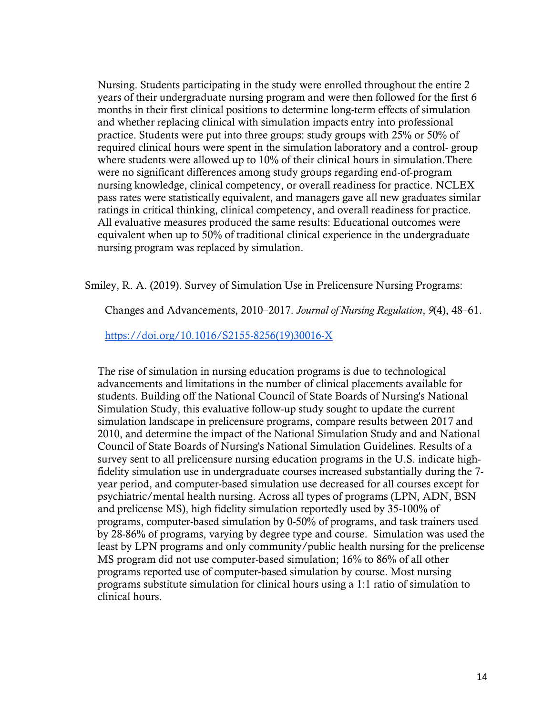Nursing. Students participating in the study were enrolled throughout the entire 2 years of their undergraduate nursing program and were then followed for the first 6 months in their first clinical positions to determine long-term effects of simulation and whether replacing clinical with simulation impacts entry into professional practice. Students were put into three groups: study groups with 25% or 50% of required clinical hours were spent in the simulation laboratory and a control- group where students were allowed up to 10% of their clinical hours in simulation. There were no significant differences among study groups regarding end-of-program nursing knowledge, clinical competency, or overall readiness for practice. NCLEX pass rates were statistically equivalent, and managers gave all new graduates similar ratings in critical thinking, clinical competency, and overall readiness for practice. All evaluative measures produced the same results: Educational outcomes were equivalent when up to 50% of traditional clinical experience in the undergraduate nursing program was replaced by simulation.

Smiley, R. A. (2019). Survey of Simulation Use in Prelicensure Nursing Programs:

Changes and Advancements, 2010–2017. *Journal of Nursing Regulation*, *9*(4), 48–61[.](https://doi.org/10.1016/S2155-8256(19)30016-X)

[https://doi.org/10.1016/S2155-8256\(19\)30016-X](https://doi.org/10.1016/S2155-8256(19)30016-X)

The rise of simulation in nursing education programs is due to technological advancements and limitations in the number of clinical placements available for students. Building off the National Council of State Boards of Nursing's National Simulation Study, this evaluative follow-up study sought to update the current simulation landscape in prelicensure programs, compare results between 2017 and 2010, and determine the impact of the National Simulation Study and and National Council of State Boards of Nursing's National Simulation Guidelines. Results of a survey sent to all prelicensure nursing education programs in the U.S. indicate highfidelity simulation use in undergraduate courses increased substantially during the 7 year period, and computer-based simulation use decreased for all courses except for psychiatric/mental health nursing. Across all types of programs (LPN, ADN, BSN and prelicense MS), high fidelity simulation reportedly used by 35-100% of programs, computer-based simulation by 0-50% of programs, and task trainers used by 28-86% of programs, varying by degree type and course. Simulation was used the least by LPN programs and only community/public health nursing for the prelicense MS program did not use computer-based simulation; 16% to 86% of all other programs reported use of computer-based simulation by course. Most nursing programs substitute simulation for clinical hours using a 1:1 ratio of simulation to clinical hours.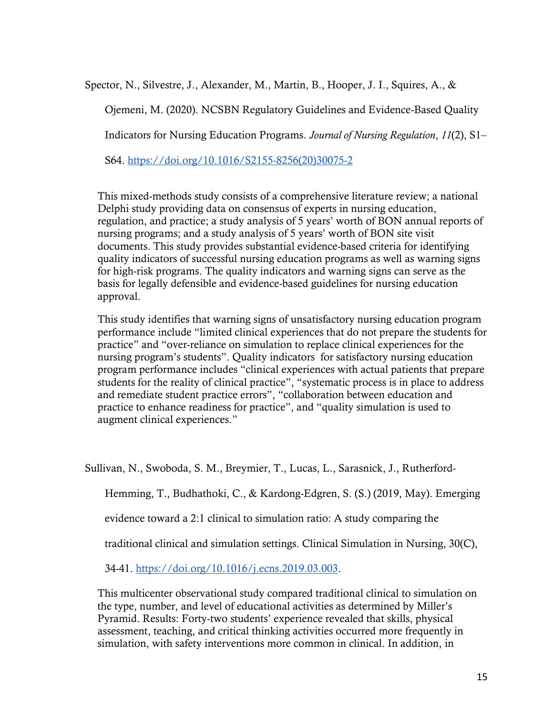Spector, N., Silvestre, J., Alexander, M., Martin, B., Hooper, J. I., Squires, A., &

Ojemeni, M. (2020). NCSBN Regulatory Guidelines and Evidence-Based Quality

Indicators for Nursing Education Programs. *Journal of Nursing Regulation*, *11*(2), S1–

S64. [https://doi.org/10.1016/S2155-8256\(20\)30075-2](https://doi.org/10.1016/S2155-8256(20)30075-2)

This mixed-methods study consists of a comprehensive literature review; a national Delphi study providing data on consensus of experts in nursing education, regulation, and practice; a study analysis of 5 years' worth of BON annual reports of nursing programs; and a study analysis of 5 years' worth of BON site visit documents. This study provides substantial evidence-based criteria for identifying quality indicators of successful nursing education programs as well as warning signs for high-risk programs. The quality indicators and warning signs can serve as the basis for legally defensible and evidence-based guidelines for nursing education approval.

This study identifies that warning signs of unsatisfactory nursing education program performance include "limited clinical experiences that do not prepare the students for practice" and "over-reliance on simulation to replace clinical experiences for the nursing program's students". Quality indicators for satisfactory nursing education program performance includes "clinical experiences with actual patients that prepare students for the reality of clinical practice", "systematic process is in place to address and remediate student practice errors", "collaboration between education and practice to enhance readiness for practice", and "quality simulation is used to augment clinical experiences."

Sullivan, N., Swoboda, S. M., Breymier, T., Lucas, L., Sarasnick, J., Rutherford-

Hemming, T., Budhathoki, C., & Kardong-Edgren, S. (S.) (2019, May). Emerging

evidence toward a 2:1 clinical to simulation ratio: A study comparing the

traditional clinical and simulation settings. Clinical Simulation in Nursing, 30(C),

34-41. [https://doi.org/10.1016/j.ecns.2019.03.003.](https://doi.org/10.1016/j.ecns.2019.03.003)

This multicenter observational study compared traditional clinical to simulation on the type, number, and level of educational activities as determined by Miller's Pyramid. Results: Forty-two students' experience revealed that skills, physical assessment, teaching, and critical thinking activities occurred more frequently in simulation, with safety interventions more common in clinical. In addition, in